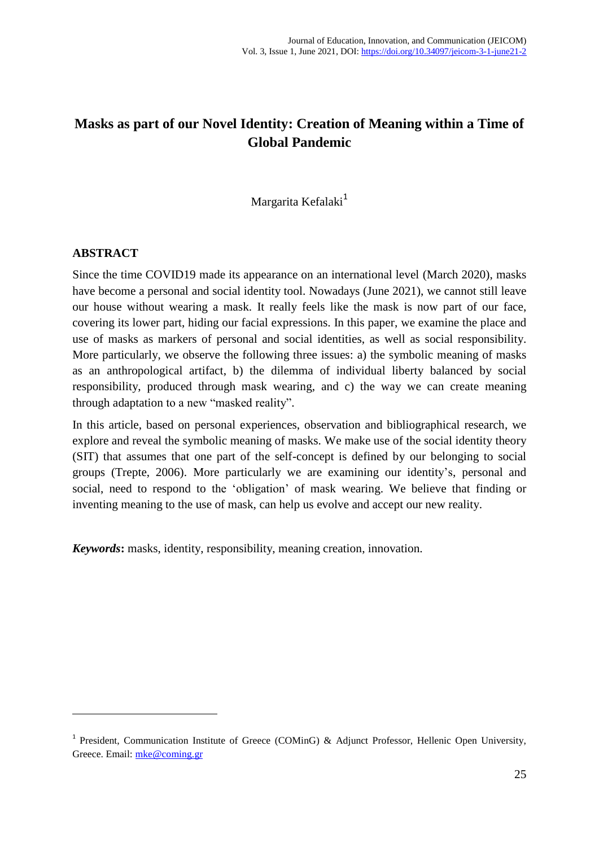# **Masks as part of our Novel Identity: Creation of Meaning within a Time of Global Pandemic**

Margarita Kefalaki<sup>1</sup>

#### **ABSTRACT**

1

Since the time COVID19 made its appearance on an international level (March 2020), masks have become a personal and social identity tool. Nowadays (June 2021), we cannot still leave our house without wearing a mask. It really feels like the mask is now part of our face, covering its lower part, hiding our facial expressions. In this paper, we examine the place and use of masks as markers of personal and social identities, as well as social responsibility. More particularly, we observe the following three issues: a) the symbolic meaning of masks as an anthropological artifact, b) the dilemma of individual liberty balanced by social responsibility, produced through mask wearing, and c) the way we can create meaning through adaptation to a new "masked reality".

In this article, based on personal experiences, observation and bibliographical research, we explore and reveal the symbolic meaning of masks. We make use of the social identity theory (SIT) that assumes that one part of the self-concept is defined by our belonging to social groups (Trepte, 2006). More particularly we are examining our identity's, personal and social, need to respond to the 'obligation' of mask wearing. We believe that finding or inventing meaning to the use of mask, can help us evolve and accept our new reality.

*Keywords***:** masks, identity, responsibility, meaning creation, innovation.

<sup>&</sup>lt;sup>1</sup> President, Communication Institute of Greece (COMinG) & Adjunct Professor, Hellenic Open University, Greece. Email: [mke@coming.gr](mailto:mke@coming.gr)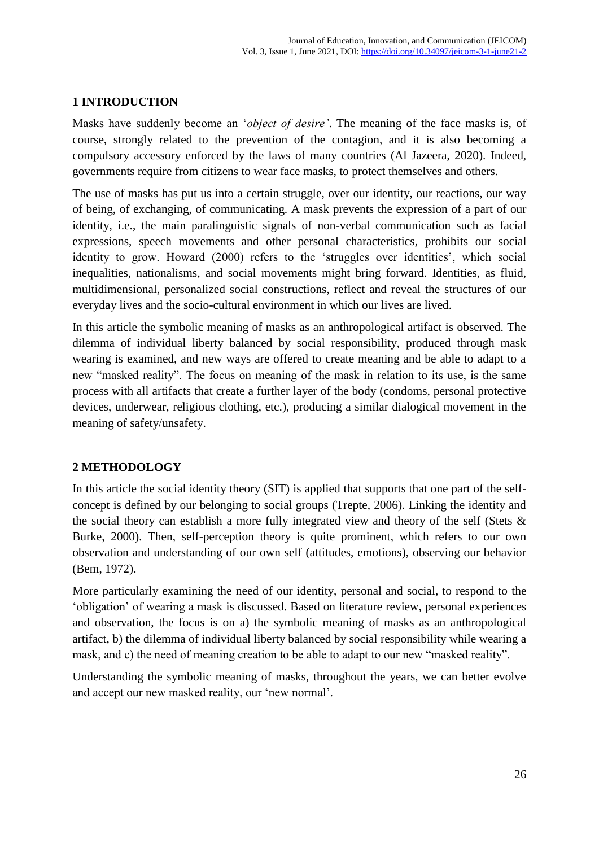# **1 INTRODUCTION**

Masks have suddenly become an '*object of desire'*. The meaning of the face masks is, of course, strongly related to the prevention of the contagion, and it is also becoming a compulsory accessory enforced by the laws of many countries (Al Jazeera, 2020). Indeed, governments require from citizens to wear face masks, to protect themselves and others.

The use of masks has put us into a certain struggle, over our identity, our reactions, our way of being, of exchanging, of communicating. A mask prevents the expression of a part of our identity, i.e., the main paralinguistic signals of non-verbal communication such as facial expressions, speech movements and other personal characteristics, prohibits our social identity to grow. Howard (2000) refers to the 'struggles over identities', which social inequalities, nationalisms, and social movements might bring forward. Identities, as fluid, multidimensional, personalized social constructions, reflect and reveal the structures of our everyday lives and the socio-cultural environment in which our lives are lived.

In this article the symbolic meaning of masks as an anthropological artifact is observed. The dilemma of individual liberty balanced by social responsibility, produced through mask wearing is examined, and new ways are offered to create meaning and be able to adapt to a new "masked reality". The focus on meaning of the mask in relation to its use, is the same process with all artifacts that create a further layer of the body (condoms, personal protective devices, underwear, religious clothing, etc.), producing a similar dialogical movement in the meaning of safety/unsafety.

### **2 METHODOLOGY**

In this article the social identity theory (SIT) is applied that supports that one part of the selfconcept is defined by our belonging to social groups (Trepte, 2006). Linking the identity and the social theory can establish a more fully integrated view and theory of the self (Stets & Burke, 2000). Then, self-perception theory is quite prominent, which refers to our own observation and understanding of our own self (attitudes, emotions), observing our behavior (Bem, 1972).

More particularly examining the need of our identity, personal and social, to respond to the 'obligation' of wearing a mask is discussed. Based on literature review, personal experiences and observation, the focus is on a) the symbolic meaning of masks as an anthropological artifact, b) the dilemma of individual liberty balanced by social responsibility while wearing a mask, and c) the need of meaning creation to be able to adapt to our new "masked reality".

Understanding the symbolic meaning of masks, throughout the years, we can better evolve and accept our new masked reality, our 'new normal'.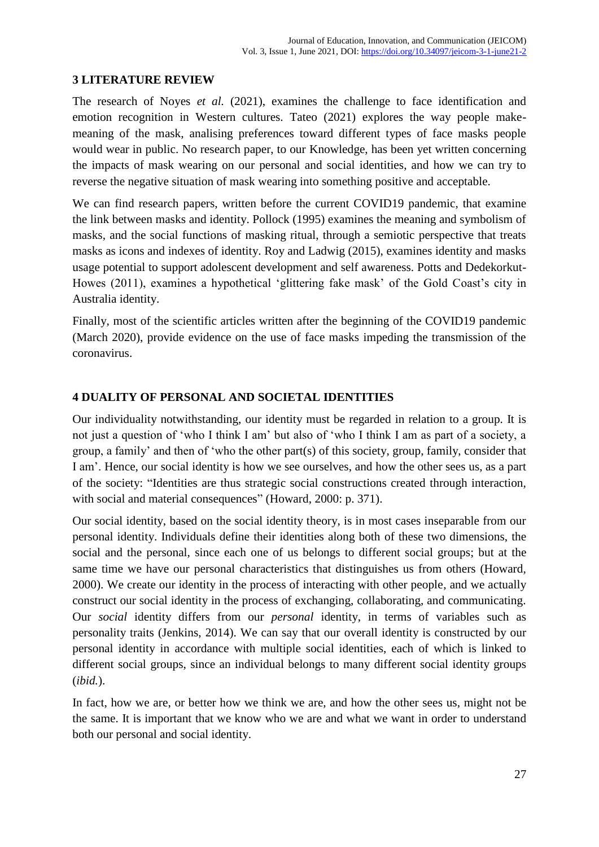# **3 LITERATURE REVIEW**

The research of Noyes *et al.* (2021), examines the challenge to face identification and emotion recognition in Western cultures. Tateo (2021) explores the way people makemeaning of the mask, analising preferences toward different types of face masks people would wear in public. No research paper, to our Knowledge, has been yet written concerning the impacts of mask wearing on our personal and social identities, and how we can try to reverse the negative situation of mask wearing into something positive and acceptable.

We can find research papers, written before the current COVID19 pandemic, that examine the link between masks and identity. Pollock (1995) examines the meaning and symbolism of masks, and the social functions of masking ritual, through a semiotic perspective that treats masks as icons and indexes of identity. Roy and Ladwig (2015), examines identity and masks usage potential to support adolescent development and self awareness. Potts and Dedekorkut-Howes (2011), examines a hypothetical 'glittering fake mask' of the Gold Coast's city in Australia identity.

Finally, most of the scientific articles written after the beginning of the COVID19 pandemic (March 2020), provide evidence on the use of face masks impeding the transmission of the coronavirus.

# **4 DUALITY OF PERSONAL AND SOCIETAL IDENTITIES**

Our individuality notwithstanding, our identity must be regarded in relation to a group. It is not just a question of 'who I think I am' but also of 'who I think I am as part of a society, a group, a family' and then of 'who the other part(s) of this society, group, family, consider that I am'. Hence, our social identity is how we see ourselves, and how the other sees us, as a part of the society: "Identities are thus strategic social constructions created through interaction, with social and material consequences" (Howard, 2000: p. 371).

Our social identity, based on the social identity theory, is in most cases inseparable from our personal identity. Individuals define their identities along both of these two dimensions, the social and the personal, since each one of us belongs to different social groups; but at the same time we have our personal characteristics that distinguishes us from others (Howard, 2000). We create our identity in the process of interacting with other people, and we actually construct our social identity in the process of exchanging, collaborating, and communicating. Our *social* identity differs from our *personal* identity, in terms of variables such as personality traits (Jenkins, 2014). We can say that our overall identity is constructed by our personal identity in accordance with multiple social identities, each of which is linked to different social groups, since an individual belongs to many different social identity groups (*ibid.*).

In fact, how we are, or better how we think we are, and how the other sees us, might not be the same. It is important that we know who we are and what we want in order to understand both our personal and social identity.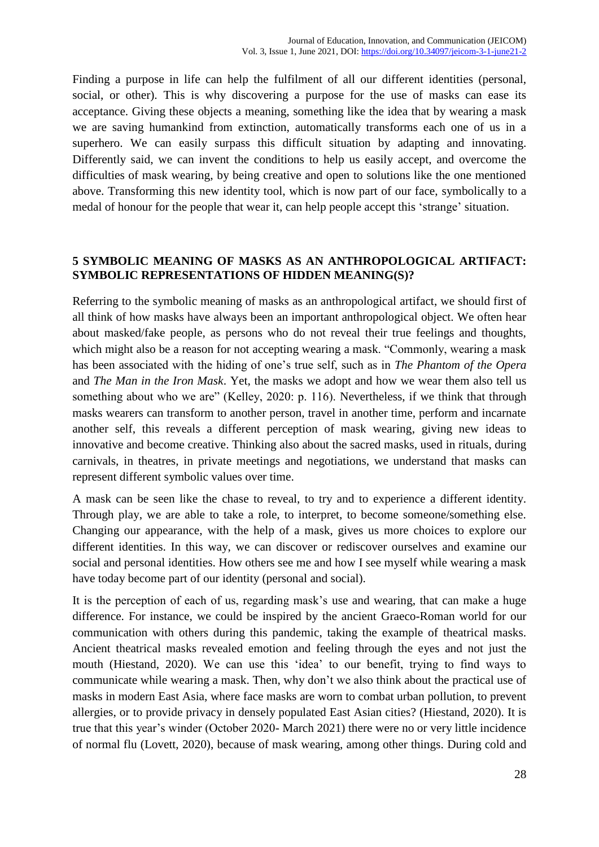Finding a purpose in life can help the fulfilment of all our different identities (personal, social, or other). This is why discovering a purpose for the use of masks can ease its acceptance. Giving these objects a meaning, something like the idea that by wearing a mask we are saving humankind from extinction, automatically transforms each one of us in a superhero. We can easily surpass this difficult situation by adapting and innovating. Differently said, we can invent the conditions to help us easily accept, and overcome the difficulties of mask wearing, by being creative and open to solutions like the one mentioned above. Transforming this new identity tool, which is now part of our face, symbolically to a medal of honour for the people that wear it, can help people accept this 'strange' situation.

### **5 SYMBOLIC MEANING OF MASKS AS AN ANTHROPOLOGICAL ARTIFACT: SYMBOLIC REPRESENTATIONS OF HIDDEN MEANING(S)?**

Referring to the symbolic meaning of masks as an anthropological artifact, we should first of all think of how masks have always been an important anthropological object. We often hear about masked/fake people, as persons who do not reveal their true feelings and thoughts, which might also be a reason for not accepting wearing a mask. "Commonly, wearing a mask has been associated with the hiding of one's true self, such as in *The Phantom of the Opera* and *The Man in the Iron Mask*. Yet, the masks we adopt and how we wear them also tell us something about who we are" (Kelley, 2020: p. 116). Nevertheless, if we think that through masks wearers can transform to another person, travel in another time, perform and incarnate another self, this reveals a different perception of mask wearing, giving new ideas to innovative and become creative. Thinking also about the sacred masks, used in rituals, during carnivals, in theatres, in private meetings and negotiations, we understand that masks can represent different symbolic values over time.

A mask can be seen like the chase to reveal, to try and to experience a different identity. Through play, we are able to take a role, to interpret, to become someone/something else. Changing our appearance, with the help of a mask, gives us more choices to explore our different identities. In this way, we can discover or rediscover ourselves and examine our social and personal identities. How others see me and how I see myself while wearing a mask have today become part of our identity (personal and social).

It is the perception of each of us, regarding mask's use and wearing, that can make a huge difference. For instance, we could be inspired by the ancient Graeco-Roman world for our communication with others during this pandemic, taking the example of theatrical masks. Ancient theatrical masks revealed emotion and feeling through the eyes and not just the mouth (Hiestand, 2020). We can use this 'idea' to our benefit, trying to find ways to communicate while wearing a mask. Then, why don't we also think about the practical use of masks in modern East Asia, where face masks are worn to combat urban pollution, to prevent allergies, or to provide privacy in densely populated East Asian cities? (Hiestand, 2020). It is true that this year's winder (October 2020- March 2021) there were no or very little incidence of normal flu (Lovett, 2020), because of mask wearing, among other things. During cold and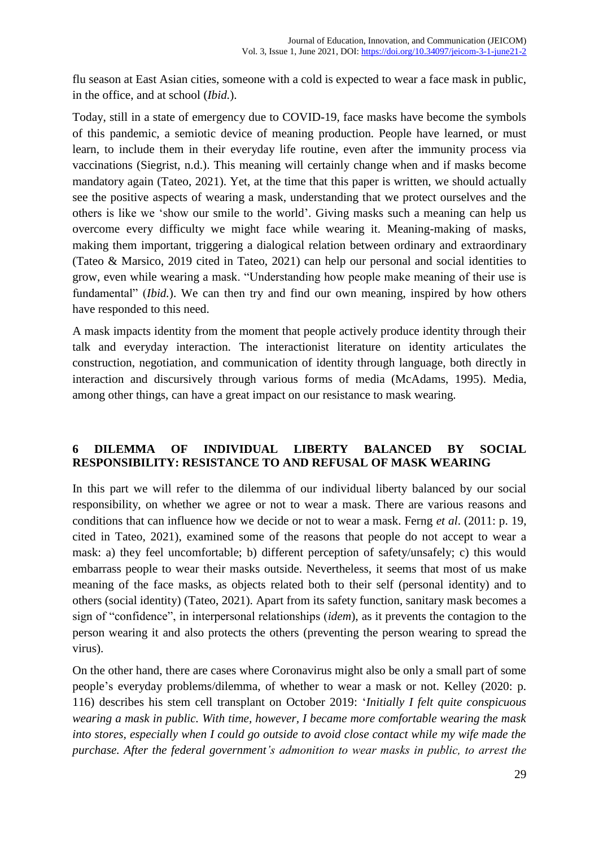flu season at East Asian cities, someone with a cold is expected to wear a face mask in public, in the office, and at school (*Ibid.*).

Today, still in a state of emergency due to COVID-19, face masks have become the symbols of this pandemic, a semiotic device of meaning production. People have learned, or must learn, to include them in their everyday life routine, even after the immunity process via vaccinations (Siegrist, n.d.). This meaning will certainly change when and if masks become mandatory again (Tateo, 2021). Yet, at the time that this paper is written, we should actually see the positive aspects of wearing a mask, understanding that we protect ourselves and the others is like we 'show our smile to the world'. Giving masks such a meaning can help us overcome every difficulty we might face while wearing it. Meaning-making of masks, making them important, triggering a dialogical relation between ordinary and extraordinary (Tateo & Marsico, 2019 cited in Tateo, 2021) can help our personal and social identities to grow, even while wearing a mask. "Understanding how people make meaning of their use is fundamental" *(Ibid.)*. We can then try and find our own meaning, inspired by how others have responded to this need.

A mask impacts identity from the moment that people actively produce identity through their talk and everyday interaction. The interactionist literature on identity articulates the construction, negotiation, and communication of identity through language, both directly in interaction and discursively through various forms of media (McAdams, 1995). Media, among other things, can have a great impact on our resistance to mask wearing.

# **6 DILEMMA OF INDIVIDUAL LIBERTY BALANCED BY SOCIAL RESPONSIBILITY: RESISTANCE TO AND REFUSAL OF MASK WEARING**

In this part we will refer to the dilemma of our individual liberty balanced by our social responsibility, on whether we agree or not to wear a mask. There are various reasons and conditions that can influence how we decide or not to wear a mask. Ferng *et al*. (2011: p. 19, cited in Tateo, 2021), examined some of the reasons that people do not accept to wear a mask: a) they feel uncomfortable; b) different perception of safety/unsafely; c) this would embarrass people to wear their masks outside. Nevertheless, it seems that most of us make meaning of the face masks, as objects related both to their self (personal identity) and to others (social identity) (Tateo, 2021). Apart from its safety function, sanitary mask becomes a sign of "confidence", in interpersonal relationships (*idem*), as it prevents the contagion to the person wearing it and also protects the others (preventing the person wearing to spread the virus).

On the other hand, there are cases where Coronavirus might also be only a small part of some people's everyday problems/dilemma, of whether to wear a mask or not. Kelley (2020: p. 116) describes his stem cell transplant on October 2019: '*Initially I felt quite conspicuous wearing a mask in public. With time, however, I became more comfortable wearing the mask into stores, especially when I could go outside to avoid close contact while my wife made the purchase. After the federal government's admonition to wear masks in public, to arrest the*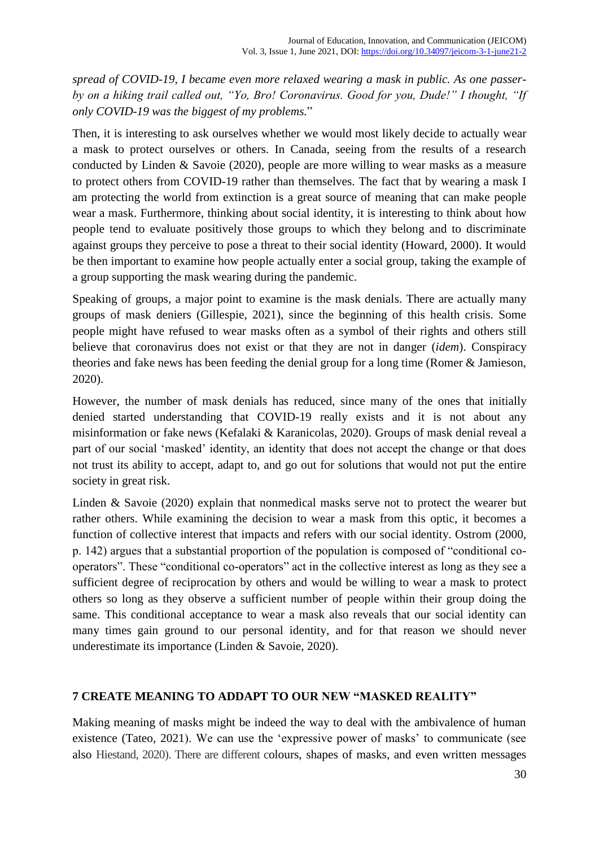*spread of COVID-19, I became even more relaxed wearing a mask in public. As one passerby on a hiking trail called out, "Yo, Bro! Coronavirus. Good for you, Dude!" I thought, "If only COVID-19 was the biggest of my problems.*"

Then, it is interesting to ask ourselves whether we would most likely decide to actually wear a mask to protect ourselves or others. In Canada, seeing from the results of a research conducted by Linden & Savoie (2020), people are more willing to wear masks as a measure to protect others from COVID-19 rather than themselves. The fact that by wearing a mask I am protecting the world from extinction is a great source of meaning that can make people wear a mask. Furthermore, thinking about social identity, it is interesting to think about how people tend to evaluate positively those groups to which they belong and to discriminate against groups they perceive to pose a threat to their social identity (Howard, 2000). It would be then important to examine how people actually enter a social group, taking the example of a group supporting the mask wearing during the pandemic.

Speaking of groups, a major point to examine is the mask denials. There are actually many groups of mask deniers (Gillespie, 2021), since the beginning of this health crisis. Some people might have refused to wear masks often as a symbol of their rights and others still believe that coronavirus does not exist or that they are not in danger (*idem*). Conspiracy theories and fake news has been feeding the denial group for a long time (Romer & Jamieson, 2020).

However, the number of mask denials has reduced, since many of the ones that initially denied started understanding that COVID-19 really exists and it is not about any misinformation or fake news (Kefalaki & Karanicolas, 2020). Groups of mask denial reveal a part of our social 'masked' identity, an identity that does not accept the change or that does not trust its ability to accept, adapt to, and go out for solutions that would not put the entire society in great risk.

Linden & Savoie (2020) explain that nonmedical masks serve not to protect the wearer but rather others. While examining the decision to wear a mask from this optic, it becomes a function of collective interest that impacts and refers with our social identity. Ostrom (2000, p. 142) argues that a substantial proportion of the population is composed of "conditional cooperators". These "conditional co-operators" act in the collective interest as long as they see a sufficient degree of reciprocation by others and would be willing to wear a mask to protect others so long as they observe a sufficient number of people within their group doing the same. This conditional acceptance to wear a mask also reveals that our social identity can many times gain ground to our personal identity, and for that reason we should never underestimate its importance (Linden & Savoie, 2020).

# **7 CREATE MEANING TO ADDAPT TO OUR NEW "MASKED REALITY"**

Making meaning of masks might be indeed the way to deal with the ambivalence of human existence (Tateo, 2021). We can use the 'expressive power of masks' to communicate (see also Hiestand, 2020). There are different colours, shapes of masks, and even written messages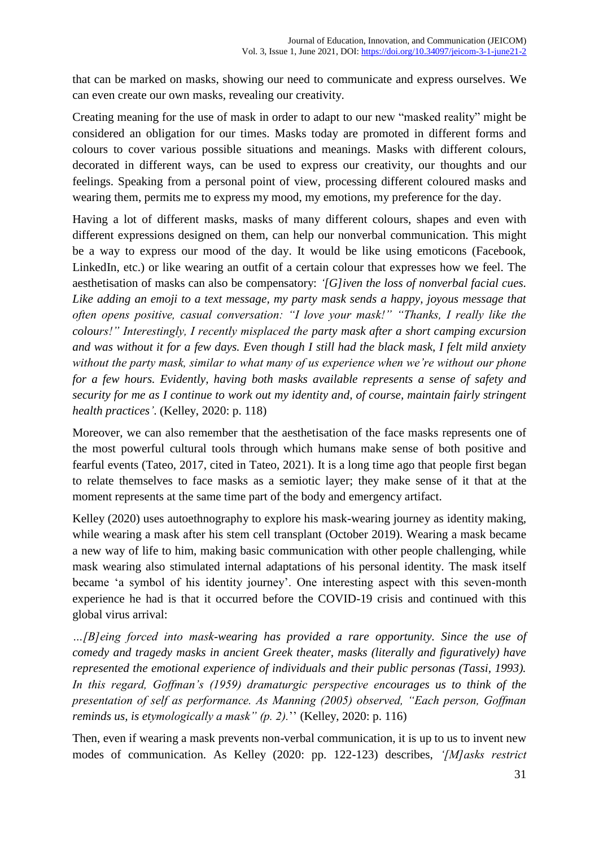that can be marked on masks, showing our need to communicate and express ourselves. We can even create our own masks, revealing our creativity.

Creating meaning for the use of mask in order to adapt to our new "masked reality" might be considered an obligation for our times. Masks today are promoted in different forms and colours to cover various possible situations and meanings. Masks with different colours, decorated in different ways, can be used to express our creativity, our thoughts and our feelings. Speaking from a personal point of view, processing different coloured masks and wearing them, permits me to express my mood, my emotions, my preference for the day.

Having a lot of different masks, masks of many different colours, shapes and even with different expressions designed on them, can help our nonverbal communication. This might be a way to express our mood of the day. It would be like using emoticons (Facebook, LinkedIn, etc.) or like wearing an outfit of a certain colour that expresses how we feel. The aesthetisation of masks can also be compensatory: *'[G]iven the loss of nonverbal facial cues. Like adding an emoji to a text message, my party mask sends a happy, joyous message that often opens positive, casual conversation: "I love your mask!" "Thanks, I really like the colours!" Interestingly, I recently misplaced the party mask after a short camping excursion and was without it for a few days. Even though I still had the black mask, I felt mild anxiety without the party mask, similar to what many of us experience when we're without our phone for a few hours. Evidently, having both masks available represents a sense of safety and security for me as I continue to work out my identity and, of course, maintain fairly stringent health practices'*. (Kelley, 2020: p. 118)

Moreover, we can also remember that the aesthetisation of the face masks represents one of the most powerful cultural tools through which humans make sense of both positive and fearful events (Tateo, 2017, cited in Tateo, 2021). It is a long time ago that people first began to relate themselves to face masks as a semiotic layer; they make sense of it that at the moment represents at the same time part of the body and emergency artifact.

Kelley (2020) uses autoethnography to explore his mask-wearing journey as identity making, while wearing a mask after his stem cell transplant (October 2019). Wearing a mask became a new way of life to him, making basic communication with other people challenging, while mask wearing also stimulated internal adaptations of his personal identity. The mask itself became 'a symbol of his identity journey'. One interesting aspect with this seven-month experience he had is that it occurred before the COVID-19 crisis and continued with this global virus arrival:

*…[B]eing forced into mask-wearing has provided a rare opportunity. Since the use of comedy and tragedy masks in ancient Greek theater, masks (literally and figuratively) have represented the emotional experience of individuals and their public personas (Tassi, 1993). In this regard, Goffman's (1959) dramaturgic perspective encourages us to think of the presentation of self as performance. As Manning (2005) observed, "Each person, Goffman reminds us, is etymologically a mask" (p. 2).*'' (Kelley, 2020: p. 116)

Then, even if wearing a mask prevents non-verbal communication, it is up to us to invent new modes of communication. As Kelley (2020: pp. 122-123) describes, *'[M]asks restrict*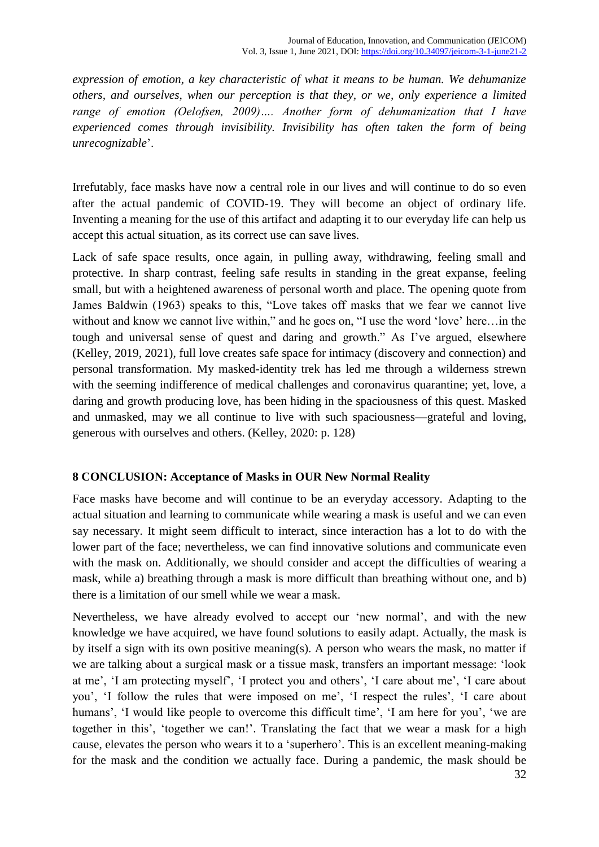*expression of emotion, a key characteristic of what it means to be human. We dehumanize others, and ourselves, when our perception is that they, or we, only experience a limited range of emotion (Oelofsen, 2009)…. Another form of dehumanization that I have experienced comes through invisibility. Invisibility has often taken the form of being unrecognizable*'.

Irrefutably, face masks have now a central role in our lives and will continue to do so even after the actual pandemic of COVID-19. They will become an object of ordinary life. Inventing a meaning for the use of this artifact and adapting it to our everyday life can help us accept this actual situation, as its correct use can save lives.

Lack of safe space results, once again, in pulling away, withdrawing, feeling small and protective. In sharp contrast, feeling safe results in standing in the great expanse, feeling small, but with a heightened awareness of personal worth and place. The opening quote from James Baldwin (1963) speaks to this, "Love takes off masks that we fear we cannot live without and know we cannot live within," and he goes on, "I use the word 'love' here... in the tough and universal sense of quest and daring and growth." As I've argued, elsewhere (Kelley, 2019, 2021), full love creates safe space for intimacy (discovery and connection) and personal transformation. My masked-identity trek has led me through a wilderness strewn with the seeming indifference of medical challenges and coronavirus quarantine; yet, love, a daring and growth producing love, has been hiding in the spaciousness of this quest. Masked and unmasked, may we all continue to live with such spaciousness—grateful and loving, generous with ourselves and others. (Kelley, 2020: p. 128)

### **8 CONCLUSION: Acceptance of Masks in OUR New Normal Reality**

Face masks have become and will continue to be an everyday accessory. Adapting to the actual situation and learning to communicate while wearing a mask is useful and we can even say necessary. It might seem difficult to interact, since interaction has a lot to do with the lower part of the face; nevertheless, we can find innovative solutions and communicate even with the mask on. Additionally, we should consider and accept the difficulties of wearing a mask, while a) breathing through a mask is more difficult than breathing without one, and b) there is a limitation of our smell while we wear a mask.

Nevertheless, we have already evolved to accept our 'new normal', and with the new knowledge we have acquired, we have found solutions to easily adapt. Actually, the mask is by itself a sign with its own positive meaning(s). A person who wears the mask, no matter if we are talking about a surgical mask or a tissue mask, transfers an important message: 'look at me', 'I am protecting myself', 'I protect you and others', 'I care about me', 'I care about you', 'I follow the rules that were imposed on me', 'I respect the rules', 'I care about humans', 'I would like people to overcome this difficult time', 'I am here for you', 'we are together in this', 'together we can!'. Translating the fact that we wear a mask for a high cause, elevates the person who wears it to a 'superhero'. This is an excellent meaning-making for the mask and the condition we actually face. During a pandemic, the mask should be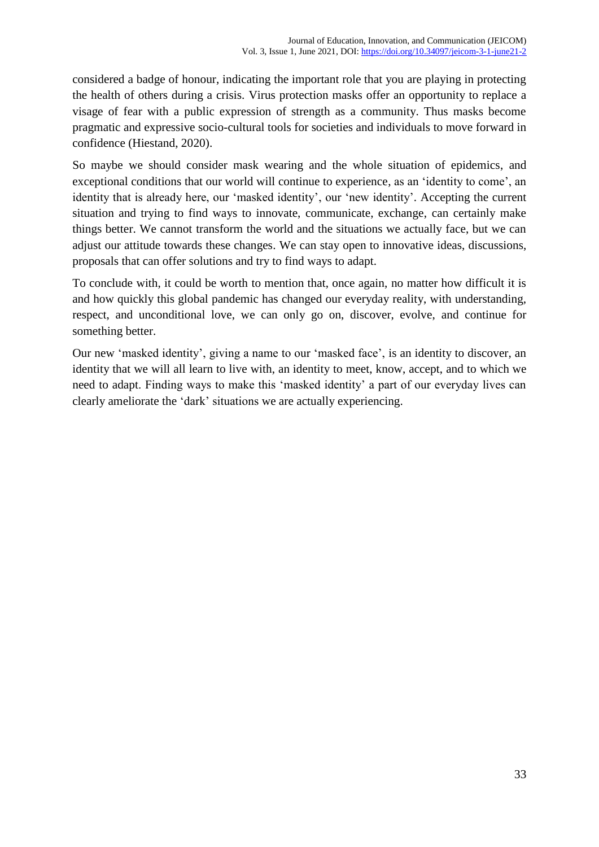considered a badge of honour, indicating the important role that you are playing in protecting the health of others during a crisis. Virus protection masks offer an opportunity to replace a visage of fear with a public expression of strength as a community. Thus masks become pragmatic and expressive socio-cultural tools for societies and individuals to move forward in confidence (Hiestand, 2020).

So maybe we should consider mask wearing and the whole situation of epidemics, and exceptional conditions that our world will continue to experience, as an 'identity to come', an identity that is already here, our 'masked identity', our 'new identity'. Accepting the current situation and trying to find ways to innovate, communicate, exchange, can certainly make things better. We cannot transform the world and the situations we actually face, but we can adjust our attitude towards these changes. We can stay open to innovative ideas, discussions, proposals that can offer solutions and try to find ways to adapt.

To conclude with, it could be worth to mention that, once again, no matter how difficult it is and how quickly this global pandemic has changed our everyday reality, with understanding, respect, and unconditional love, we can only go on, discover, evolve, and continue for something better.

Our new 'masked identity', giving a name to our 'masked face', is an identity to discover, an identity that we will all learn to live with, an identity to meet, know, accept, and to which we need to adapt. Finding ways to make this 'masked identity' a part of our everyday lives can clearly ameliorate the 'dark' situations we are actually experiencing.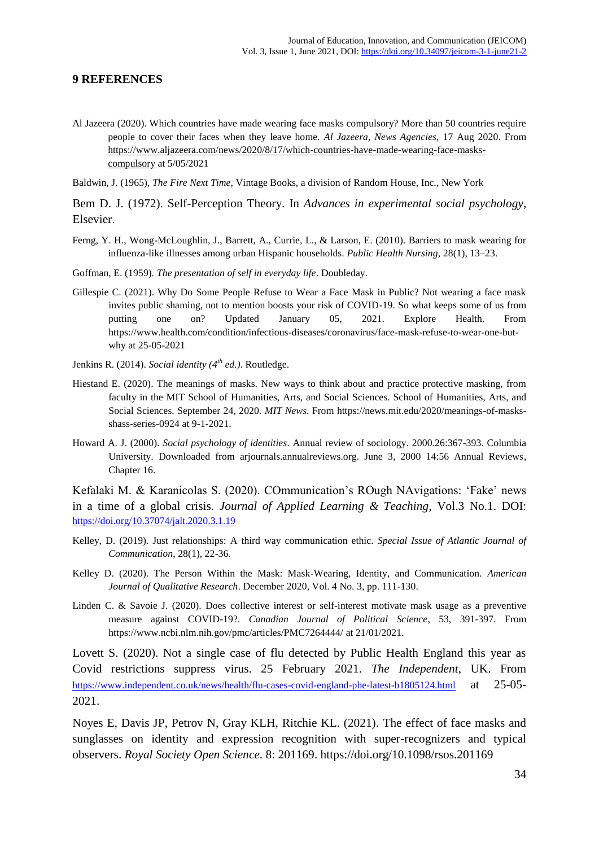#### **9 REFERENCES**

Al Jazeera (2020). Which countries have made wearing face masks compulsory? More than 50 countries require people to cover their faces when they leave home. *Al Jazeera, News Agencies*, 17 Aug 2020. From [https://www.aljazeera.com/news/2020/8/17/which-countries-have-made-wearing-face-masks](https://www.aljazeera.com/news/2020/8/17/which-countries-have-made-wearing-face-masks-compulsory)[compulsory](https://www.aljazeera.com/news/2020/8/17/which-countries-have-made-wearing-face-masks-compulsory) at 5/05/2021

Baldwin, J. (1965), *The Fire Next Time*, Vintage Books, a division of Random House, Inc., New York

Bem D. J. (1972). Self-Perception Theory. In *Advances in experimental social psychology*, Elsevier.

- Ferng, Y. H., Wong-McLoughlin, J., Barrett, A., Currie, L., & Larson, E. (2010). Barriers to mask wearing for influenza-like illnesses among urban Hispanic households. *Public Health Nursing*, 28(1), 13–23.
- Goffman, E. (1959). *The presentation of self in everyday life*. Doubleday.
- Gillespie C. (2021). Why Do Some People Refuse to Wear a Face Mask in Public? Not wearing a face mask invites public shaming, not to mention boosts your risk of COVID-19. So what keeps some of us from putting one on? Updated January 05, 2021. Explore Health. From https://www.health.com/condition/infectious-diseases/coronavirus/face-mask-refuse-to-wear-one-butwhy at 25-05-2021
- Jenkins R. (2014). *Social identity (4 th ed.)*. Routledge.
- Hiestand E. (2020). The meanings of masks. New ways to think about and practice protective masking, from faculty in the MIT School of Humanities, Arts, and Social Sciences. School of Humanities, Arts, and Social Sciences. September 24, 2020. *MIT News*. From [https://news.mit.edu/2020/meanings-of-masks](https://news.mit.edu/2020/meanings-of-masks-shass-series-0924)[shass-series-0924](https://news.mit.edu/2020/meanings-of-masks-shass-series-0924) at 9-1-2021.
- Howard A. J. (2000). *Social psychology of identities*. Annual review of sociology. 2000.26:367-393. Columbia University. Downloaded from arjournals.annualreviews.org. June 3, 2000 14:56 Annual Reviews, Chapter 16.

Kefalaki M. & Karanicolas S. (2020). COmmunication's ROugh NAvigations: 'Fake' news in a time of a global crisis. *Journal of Applied Learning & Teaching*, Vol.3 No.1. DOI: <https://doi.org/10.37074/jalt.2020.3.1.19>

- Kelley, D. (2019). Just relationships: A third way communication ethic. *Special Issue of Atlantic Journal of Communication*, 28(1), 22-36.
- Kelley D. (2020). The Person Within the Mask: Mask-Wearing, Identity, and Communication. *American Journal of Qualitative Research*. December 2020, Vol. 4 No. 3, pp. 111-130.
- Linden C. & Savoie J. (2020). Does collective interest or self-interest motivate mask usage as a preventive measure against COVID-19?. *Canadian Journal of Political Science*, 53, 391-397. From <https://www.ncbi.nlm.nih.gov/pmc/articles/PMC7264444/> at 21/01/2021.

Lovett S. (2020). Not a single case of flu detected by Public Health England this year as Covid restrictions suppress virus. 25 February 2021. *The Independent*, UK. From <https://www.independent.co.uk/news/health/flu-cases-covid-england-phe-latest-b1805124.html> at 25-05- 2021.

Noyes E, Davis JP, Petrov N, Gray KLH, Ritchie KL. (2021). The effect of face masks and sunglasses on identity and expression recognition with super-recognizers and typical observers. *Royal Society Open Science*. 8: 201169. https://doi.org/10.1098/rsos.201169